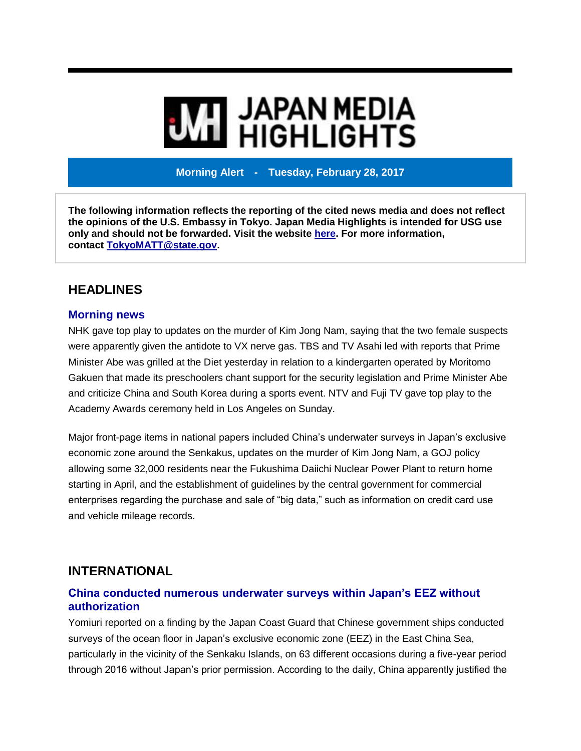# **MI** JAPAN MEDIA<br>MI HIGHLIGHTS

**Morning Alert - Tuesday, February 28, 2017**

**The following information reflects the reporting of the cited news media and does not reflect the opinions of the U.S. Embassy in Tokyo. Japan Media Highlights is intended for USG use only and should not be forwarded. Visit the website [here.](https://jmh.usembassy.gov/) For more information, contact [TokyoMATT@state.gov.](mailto:TokyoMATT@state.gov)**

# **HEADLINES**

#### **Morning news**

NHK gave top play to updates on the murder of Kim Jong Nam, saying that the two female suspects were apparently given the antidote to VX nerve gas. TBS and TV Asahi led with reports that Prime Minister Abe was grilled at the Diet yesterday in relation to a kindergarten operated by Moritomo Gakuen that made its preschoolers chant support for the security legislation and Prime Minister Abe and criticize China and South Korea during a sports event. NTV and Fuji TV gave top play to the Academy Awards ceremony held in Los Angeles on Sunday.

Major front-page items in national papers included China's underwater surveys in Japan's exclusive economic zone around the Senkakus, updates on the murder of Kim Jong Nam, a GOJ policy allowing some 32,000 residents near the Fukushima Daiichi Nuclear Power Plant to return home starting in April, and the establishment of guidelines by the central government for commercial enterprises regarding the purchase and sale of "big data," such as information on credit card use and vehicle mileage records.

# **INTERNATIONAL**

#### **China conducted numerous underwater surveys within Japan's EEZ without authorization**

Yomiuri reported on a finding by the Japan Coast Guard that Chinese government ships conducted surveys of the ocean floor in Japan's exclusive economic zone (EEZ) in the East China Sea, particularly in the vicinity of the Senkaku Islands, on 63 different occasions during a five-year period through 2016 without Japan's prior permission. According to the daily, China apparently justified the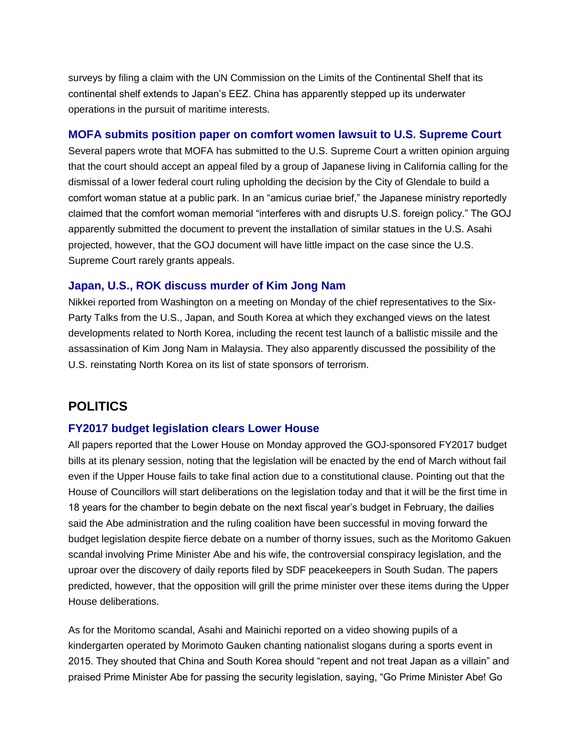surveys by filing a claim with the UN Commission on the Limits of the Continental Shelf that its continental shelf extends to Japan's EEZ. China has apparently stepped up its underwater operations in the pursuit of maritime interests.

#### **MOFA submits position paper on comfort women lawsuit to U.S. Supreme Court**

Several papers wrote that MOFA has submitted to the U.S. Supreme Court a written opinion arguing that the court should accept an appeal filed by a group of Japanese living in California calling for the dismissal of a lower federal court ruling upholding the decision by the City of Glendale to build a comfort woman statue at a public park. In an "amicus curiae brief," the Japanese ministry reportedly claimed that the comfort woman memorial "interferes with and disrupts U.S. foreign policy." The GOJ apparently submitted the document to prevent the installation of similar statues in the U.S. Asahi projected, however, that the GOJ document will have little impact on the case since the U.S. Supreme Court rarely grants appeals.

#### **Japan, U.S., ROK discuss murder of Kim Jong Nam**

Nikkei reported from Washington on a meeting on Monday of the chief representatives to the Six-Party Talks from the U.S., Japan, and South Korea at which they exchanged views on the latest developments related to North Korea, including the recent test launch of a ballistic missile and the assassination of Kim Jong Nam in Malaysia. They also apparently discussed the possibility of the U.S. reinstating North Korea on its list of state sponsors of terrorism.

# **POLITICS**

#### **FY2017 budget legislation clears Lower House**

All papers reported that the Lower House on Monday approved the GOJ-sponsored FY2017 budget bills at its plenary session, noting that the legislation will be enacted by the end of March without fail even if the Upper House fails to take final action due to a constitutional clause. Pointing out that the House of Councillors will start deliberations on the legislation today and that it will be the first time in 18 years for the chamber to begin debate on the next fiscal year's budget in February, the dailies said the Abe administration and the ruling coalition have been successful in moving forward the budget legislation despite fierce debate on a number of thorny issues, such as the Moritomo Gakuen scandal involving Prime Minister Abe and his wife, the controversial conspiracy legislation, and the uproar over the discovery of daily reports filed by SDF peacekeepers in South Sudan. The papers predicted, however, that the opposition will grill the prime minister over these items during the Upper House deliberations.

As for the Moritomo scandal, Asahi and Mainichi reported on a video showing pupils of a kindergarten operated by Morimoto Gauken chanting nationalist slogans during a sports event in 2015. They shouted that China and South Korea should "repent and not treat Japan as a villain" and praised Prime Minister Abe for passing the security legislation, saying, "Go Prime Minister Abe! Go